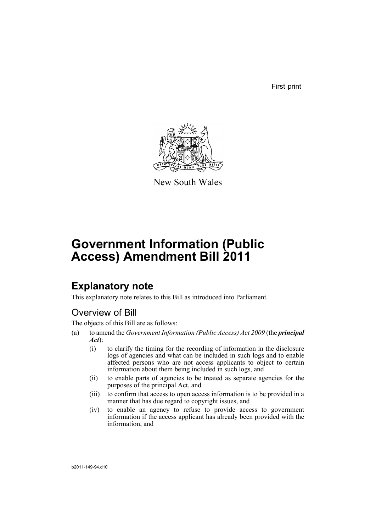First print



New South Wales

# **Government Information (Public Access) Amendment Bill 2011**

## **Explanatory note**

This explanatory note relates to this Bill as introduced into Parliament.

## Overview of Bill

The objects of this Bill are as follows:

- (a) to amend the *Government Information (Public Access) Act 2009* (the *principal Act*):
	- (i) to clarify the timing for the recording of information in the disclosure logs of agencies and what can be included in such logs and to enable affected persons who are not access applicants to object to certain information about them being included in such logs, and
	- (ii) to enable parts of agencies to be treated as separate agencies for the purposes of the principal Act, and
	- (iii) to confirm that access to open access information is to be provided in a manner that has due regard to copyright issues, and
	- (iv) to enable an agency to refuse to provide access to government information if the access applicant has already been provided with the information, and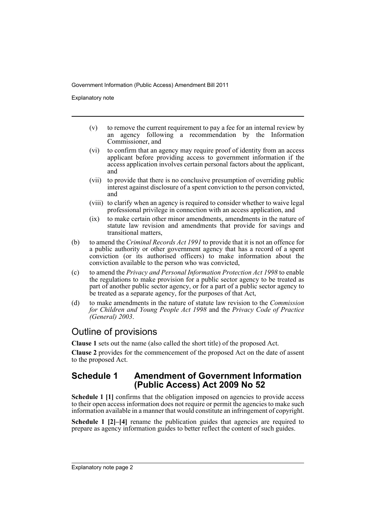Explanatory note

- (v) to remove the current requirement to pay a fee for an internal review by an agency following a recommendation by the Information Commissioner, and
- (vi) to confirm that an agency may require proof of identity from an access applicant before providing access to government information if the access application involves certain personal factors about the applicant, and
- (vii) to provide that there is no conclusive presumption of overriding public interest against disclosure of a spent conviction to the person convicted, and
- (viii) to clarify when an agency is required to consider whether to waive legal professional privilege in connection with an access application, and
- (ix) to make certain other minor amendments, amendments in the nature of statute law revision and amendments that provide for savings and transitional matters,
- (b) to amend the *Criminal Records Act 1991* to provide that it is not an offence for a public authority or other government agency that has a record of a spent conviction (or its authorised officers) to make information about the conviction available to the person who was convicted,
- (c) to amend the *Privacy and Personal Information Protection Act 1998* to enable the regulations to make provision for a public sector agency to be treated as part of another public sector agency, or for a part of a public sector agency to be treated as a separate agency, for the purposes of that Act,
- (d) to make amendments in the nature of statute law revision to the *Commission for Children and Young People Act 1998* and the *Privacy Code of Practice (General) 2003*.

## Outline of provisions

**Clause 1** sets out the name (also called the short title) of the proposed Act.

**Clause 2** provides for the commencement of the proposed Act on the date of assent to the proposed Act.

### **Schedule 1 Amendment of Government Information (Public Access) Act 2009 No 52**

**Schedule 1 [1]** confirms that the obligation imposed on agencies to provide access to their open access information does not require or permit the agencies to make such information available in a manner that would constitute an infringement of copyright.

**Schedule 1 [2]–[4]** rename the publication guides that agencies are required to prepare as agency information guides to better reflect the content of such guides.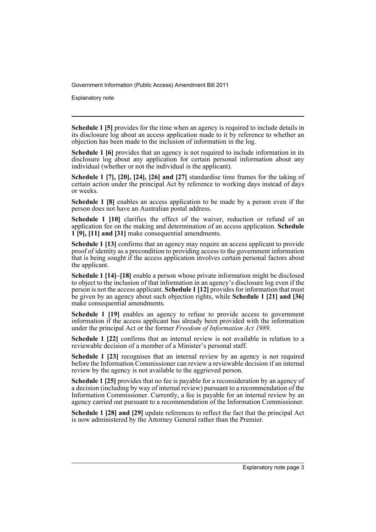Explanatory note

**Schedule 1 [5]** provides for the time when an agency is required to include details in its disclosure log about an access application made to it by reference to whether an objection has been made to the inclusion of information in the log.

**Schedule 1 [6]** provides that an agency is not required to include information in its disclosure log about any application for certain personal information about any individual (whether or not the individual is the applicant).

**Schedule 1 [7], [20], [24], [26] and [27]** standardise time frames for the taking of certain action under the principal Act by reference to working days instead of days or weeks.

**Schedule 1 [8]** enables an access application to be made by a person even if the person does not have an Australian postal address.

**Schedule 1 [10]** clarifies the effect of the waiver, reduction or refund of an application fee on the making and determination of an access application. **Schedule 1 [9], [11] and [31]** make consequential amendments.

**Schedule 1 [13]** confirms that an agency may require an access applicant to provide proof of identity as a precondition to providing access to the government information that is being sought if the access application involves certain personal factors about the applicant.

**Schedule 1 [14]–[18]** enable a person whose private information might be disclosed to object to the inclusion of that information in an agency's disclosure log even if the person is not the access applicant. **Schedule 1 [12]** provides for information that must be given by an agency about such objection rights, while **Schedule 1 [21] and [36]** make consequential amendments.

**Schedule 1 [19]** enables an agency to refuse to provide access to government information if the access applicant has already been provided with the information under the principal Act or the former *Freedom of Information Act 1989*.

**Schedule 1 [22]** confirms that an internal review is not available in relation to a reviewable decision of a member of a Minister's personal staff.

**Schedule 1 [23]** recognises that an internal review by an agency is not required before the Information Commissioner can review a reviewable decision if an internal review by the agency is not available to the aggrieved person.

**Schedule 1 [25]** provides that no fee is payable for a reconsideration by an agency of a decision (including by way of internal review) pursuant to a recommendation of the Information Commissioner. Currently, a fee is payable for an internal review by an agency carried out pursuant to a recommendation of the Information Commissioner.

**Schedule 1 [28] and [29]** update references to reflect the fact that the principal Act is now administered by the Attorney General rather than the Premier.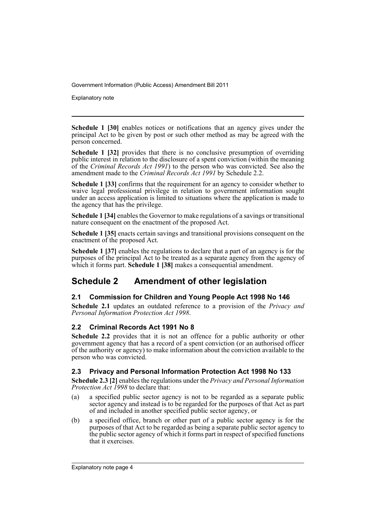Explanatory note

**Schedule 1 [30]** enables notices or notifications that an agency gives under the principal Act to be given by post or such other method as may be agreed with the person concerned.

**Schedule 1 [32]** provides that there is no conclusive presumption of overriding public interest in relation to the disclosure of a spent conviction (within the meaning of the *Criminal Records Act 1991*) to the person who was convicted. See also the amendment made to the *Criminal Records Act 1991* by Schedule 2.2.

**Schedule 1 [33]** confirms that the requirement for an agency to consider whether to waive legal professional privilege in relation to government information sought under an access application is limited to situations where the application is made to the agency that has the privilege.

**Schedule 1 [34]** enables the Governor to make regulations of a savings or transitional nature consequent on the enactment of the proposed Act.

**Schedule 1 [35]** enacts certain savings and transitional provisions consequent on the enactment of the proposed Act.

**Schedule 1 [37]** enables the regulations to declare that a part of an agency is for the purposes of the principal Act to be treated as a separate agency from the agency of which it forms part. **Schedule 1 [38]** makes a consequential amendment.

## **Schedule 2 Amendment of other legislation**

### **2.1 Commission for Children and Young People Act 1998 No 146**

**Schedule 2.1** updates an outdated reference to a provision of the *Privacy and Personal Information Protection Act 1998*.

### **2.2 Criminal Records Act 1991 No 8**

**Schedule 2.2** provides that it is not an offence for a public authority or other government agency that has a record of a spent conviction (or an authorised officer of the authority or agency) to make information about the conviction available to the person who was convicted.

#### **2.3 Privacy and Personal Information Protection Act 1998 No 133**

**Schedule 2.3 [2]** enables the regulations under the *Privacy and Personal Information Protection Act 1998* to declare that:

- (a) a specified public sector agency is not to be regarded as a separate public sector agency and instead is to be regarded for the purposes of that Act as part of and included in another specified public sector agency, or
- (b) a specified office, branch or other part of a public sector agency is for the purposes of that Act to be regarded as being a separate public sector agency to the public sector agency of which it forms part in respect of specified functions that it exercises.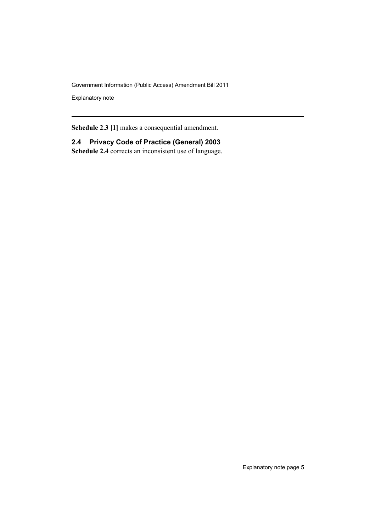Explanatory note

**Schedule 2.3 [1]** makes a consequential amendment.

**2.4 Privacy Code of Practice (General) 2003 Schedule 2.4** corrects an inconsistent use of language.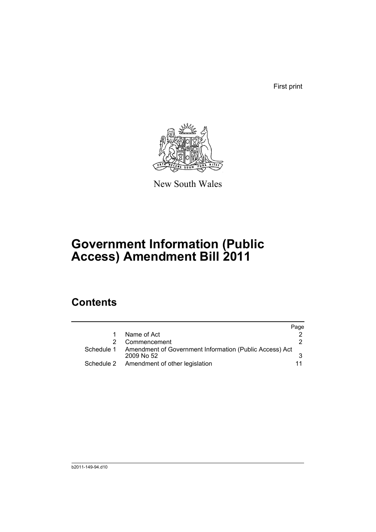First print



New South Wales

## **Government Information (Public Access) Amendment Bill 2011**

## **Contents**

|   |                                                                                    | Page |
|---|------------------------------------------------------------------------------------|------|
|   | Name of Act                                                                        |      |
| 2 | Commencement                                                                       | 2    |
|   | Schedule 1 Amendment of Government Information (Public Access) Act<br>$2009$ No 52 |      |
|   | Schedule 2 Amendment of other legislation                                          |      |
|   |                                                                                    |      |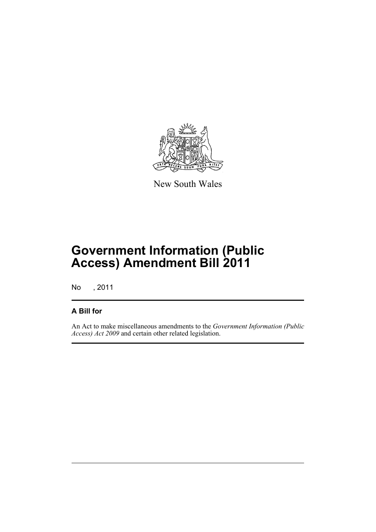

New South Wales

## **Government Information (Public Access) Amendment Bill 2011**

No , 2011

### **A Bill for**

An Act to make miscellaneous amendments to the *Government Information (Public Access) Act 2009* and certain other related legislation.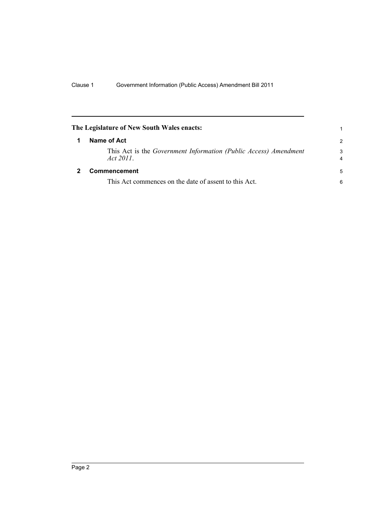<span id="page-9-1"></span><span id="page-9-0"></span>

| The Legislature of New South Wales enacts:                                       | 1             |
|----------------------------------------------------------------------------------|---------------|
| Name of Act                                                                      | $\mathcal{P}$ |
| This Act is the Government Information (Public Access) Amendment<br>Act $2011$ . | 3<br>4        |
| Commencement                                                                     | 5             |
| This Act commences on the date of assent to this Act.                            | 6             |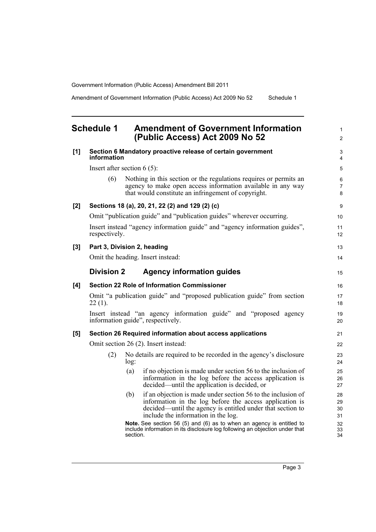Amendment of Government Information (Public Access) Act 2009 No 52 Schedule 1

## <span id="page-10-0"></span>**Schedule 1 Amendment of Government Information (Public Access) Act 2009 No 52**

| [1]   | information                                                                                            | Section 6 Mandatory proactive release of certain government |                                                                                                                                                                                                                              | 3<br>$\overline{4}$      |  |
|-------|--------------------------------------------------------------------------------------------------------|-------------------------------------------------------------|------------------------------------------------------------------------------------------------------------------------------------------------------------------------------------------------------------------------------|--------------------------|--|
|       | Insert after section $6(5)$ :                                                                          |                                                             |                                                                                                                                                                                                                              |                          |  |
|       | (6)                                                                                                    |                                                             | Nothing in this section or the regulations requires or permits an<br>agency to make open access information available in any way<br>that would constitute an infringement of copyright.                                      | 6<br>$\overline{7}$<br>8 |  |
| [2]   |                                                                                                        |                                                             | Sections 18 (a), 20, 21, 22 (2) and 129 (2) (c)                                                                                                                                                                              | 9                        |  |
|       |                                                                                                        |                                                             | Omit "publication guide" and "publication guides" wherever occurring.                                                                                                                                                        | 10                       |  |
|       | Insert instead "agency information guide" and "agency information guides",<br>respectively.            |                                                             |                                                                                                                                                                                                                              |                          |  |
| $[3]$ | Part 3, Division 2, heading                                                                            |                                                             |                                                                                                                                                                                                                              | 13                       |  |
|       | Omit the heading. Insert instead:                                                                      |                                                             |                                                                                                                                                                                                                              | 14                       |  |
|       | <b>Division 2</b>                                                                                      |                                                             | <b>Agency information guides</b>                                                                                                                                                                                             | 15                       |  |
| [4]   |                                                                                                        |                                                             | <b>Section 22 Role of Information Commissioner</b>                                                                                                                                                                           | 16                       |  |
|       | Omit "a publication guide" and "proposed publication guide" from section<br>$22(1)$ .                  |                                                             |                                                                                                                                                                                                                              |                          |  |
|       | Insert instead "an agency information guide" and "proposed agency<br>information guide", respectively. |                                                             |                                                                                                                                                                                                                              |                          |  |
| [5]   |                                                                                                        |                                                             | Section 26 Required information about access applications                                                                                                                                                                    | 21                       |  |
|       | Omit section 26 (2). Insert instead:                                                                   |                                                             |                                                                                                                                                                                                                              |                          |  |
|       | (2)                                                                                                    | log:                                                        | No details are required to be recorded in the agency's disclosure                                                                                                                                                            | 23<br>24                 |  |
|       |                                                                                                        | (a)                                                         | if no objection is made under section 56 to the inclusion of<br>information in the log before the access application is<br>decided—until the application is decided, or                                                      | 25<br>26<br>27           |  |
|       |                                                                                                        | (b)                                                         | if an objection is made under section 56 to the inclusion of<br>information in the log before the access application is<br>decided—until the agency is entitled under that section to<br>include the information in the log. | 28<br>29<br>30<br>31     |  |
|       |                                                                                                        | section.                                                    | Note. See section 56 (5) and (6) as to when an agency is entitled to<br>include information in its disclosure log following an objection under that                                                                          | 32<br>33<br>34           |  |

1 2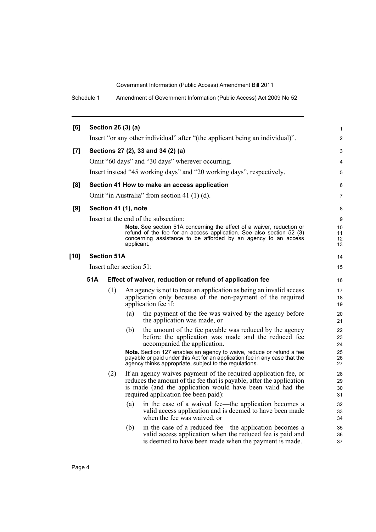Schedule 1 Amendment of Government Information (Public Access) Act 2009 No 52

| [6]    |                          |                    | Section 26 (3) (a)                                                                                                                                                                                                                            | $\mathbf{1}$         |  |
|--------|--------------------------|--------------------|-----------------------------------------------------------------------------------------------------------------------------------------------------------------------------------------------------------------------------------------------|----------------------|--|
|        |                          |                    | Insert "or any other individual" after "(the applicant being an individual)".                                                                                                                                                                 | $\overline{2}$       |  |
| $[7]$  |                          |                    | Sections 27 (2), 33 and 34 (2) (a)                                                                                                                                                                                                            | 3                    |  |
|        |                          |                    | Omit "60 days" and "30 days" wherever occurring.                                                                                                                                                                                              | 4                    |  |
|        |                          |                    | Insert instead "45 working days" and "20 working days", respectively.                                                                                                                                                                         | 5                    |  |
| [8]    |                          |                    | Section 41 How to make an access application                                                                                                                                                                                                  | 6                    |  |
|        |                          |                    | Omit "in Australia" from section 41 (1) (d).                                                                                                                                                                                                  | 7                    |  |
| [9]    |                          |                    | Section 41 (1), note                                                                                                                                                                                                                          | 8                    |  |
|        |                          |                    | Insert at the end of the subsection:                                                                                                                                                                                                          | 9                    |  |
|        |                          |                    | <b>Note.</b> See section 51A concerning the effect of a waiver, reduction or<br>refund of the fee for an access application. See also section 52 (3)<br>concerning assistance to be afforded by an agency to an access<br>applicant.          | 10<br>11<br>12<br>13 |  |
| $[10]$ |                          | <b>Section 51A</b> |                                                                                                                                                                                                                                               | 14                   |  |
|        | Insert after section 51: |                    |                                                                                                                                                                                                                                               |                      |  |
|        | 51A                      |                    | Effect of waiver, reduction or refund of application fee                                                                                                                                                                                      | 16                   |  |
|        |                          | (1)                | An agency is not to treat an application as being an invalid access<br>application only because of the non-payment of the required<br>application fee if:                                                                                     | 17<br>18<br>19       |  |
|        |                          |                    | (a)<br>the payment of the fee was waived by the agency before<br>the application was made, or                                                                                                                                                 | 20<br>21             |  |
|        |                          |                    | the amount of the fee payable was reduced by the agency<br>(b)<br>before the application was made and the reduced fee<br>accompanied the application.                                                                                         | 22<br>23<br>24       |  |
|        |                          |                    | Note. Section 127 enables an agency to waive, reduce or refund a fee<br>payable or paid under this Act for an application fee in any case that the<br>agency thinks appropriate, subject to the regulations.                                  | 25<br>26<br>27       |  |
|        |                          | (2)                | If an agency waives payment of the required application fee, or<br>reduces the amount of the fee that is payable, after the application<br>is made (and the application would have been valid had the<br>required application fee been paid): | 28<br>29<br>30<br>31 |  |
|        |                          |                    | (a)<br>in the case of a waived fee—the application becomes a<br>valid access application and is deemed to have been made<br>when the fee was waived, or                                                                                       | 32<br>33<br>34       |  |
|        |                          |                    | in the case of a reduced fee—the application becomes a<br>(b)<br>valid access application when the reduced fee is paid and<br>is deemed to have been made when the payment is made.                                                           | 35<br>36<br>37       |  |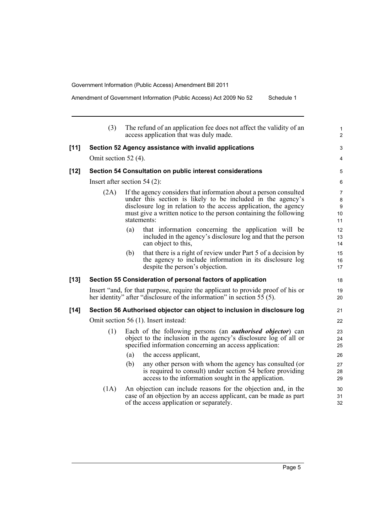Amendment of Government Information (Public Access) Act 2009 No 52 Schedule 1

(3) The refund of an application fee does not affect the validity of an access application that was duly made. **[11] Section 52 Agency assistance with invalid applications** Omit section 52 (4). **[12] Section 54 Consultation on public interest considerations** Insert after section 54 (2): (2A) If the agency considers that information about a person consulted under this section is likely to be included in the agency's disclosure log in relation to the access application, the agency must give a written notice to the person containing the following statements: (a) that information concerning the application will be included in the agency's disclosure log and that the person can object to this, (b) that there is a right of review under Part 5 of a decision by the agency to include information in its disclosure log despite the person's objection. **[13] Section 55 Consideration of personal factors of application** Insert "and, for that purpose, require the applicant to provide proof of his or her identity" after "disclosure of the information" in section 55 (5). **[14] Section 56 Authorised objector can object to inclusion in disclosure log** Omit section 56 (1). Insert instead: (1) Each of the following persons (an *authorised objector*) can object to the inclusion in the agency's disclosure log of all or specified information concerning an access application: (a) the access applicant, (b) any other person with whom the agency has consulted (or is required to consult) under section 54 before providing access to the information sought in the application. (1A) An objection can include reasons for the objection and, in the case of an objection by an access applicant, can be made as part 1  $\overline{2}$ 3 4 5 6 7  $\Omega$  $\overline{Q}$  $10$ 11 12 13 14 15 16 17 18 19 20 21 22 23 24 25 26 27 28 29 30 31

of the access application or separately.

32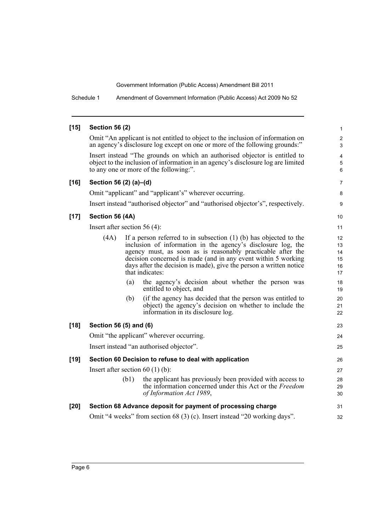Schedule 1 Amendment of Government Information (Public Access) Act 2009 No 52

#### **[15] Section 56 (2)**

Omit "An applicant is not entitled to object to the inclusion of information on an agency's disclosure log except on one or more of the following grounds:"

Insert instead "The grounds on which an authorised objector is entitled to object to the inclusion of information in an agency's disclosure log are limited to any one or more of the following:".

#### **[16] Section 56 (2) (a)–(d)**

Omit "applicant" and "applicant's" wherever occurring.

Insert instead "authorised objector" and "authorised objector's", respectively.

#### **[17] Section 56 (4A)**

Insert after section  $56(A)$ 

|        | Insert after section $56(4)$ :                                            |      |                                                                                                                                                                                                                                                                                                                                                              |                                  |
|--------|---------------------------------------------------------------------------|------|--------------------------------------------------------------------------------------------------------------------------------------------------------------------------------------------------------------------------------------------------------------------------------------------------------------------------------------------------------------|----------------------------------|
|        | (4A)                                                                      |      | If a person referred to in subsection $(1)$ (b) has objected to the<br>inclusion of information in the agency's disclosure log, the<br>agency must, as soon as is reasonably practicable after the<br>decision concerned is made (and in any event within 5 working<br>days after the decision is made), give the person a written notice<br>that indicates: | 12<br>13<br>14<br>15<br>16<br>17 |
|        |                                                                           | (a)  | the agency's decision about whether the person was<br>entitled to object, and                                                                                                                                                                                                                                                                                | 18<br>19                         |
|        |                                                                           | (b)  | (if the agency has decided that the person was entitled to<br>object) the agency's decision on whether to include the<br>information in its disclosure log.                                                                                                                                                                                                  | 20<br>21<br>22                   |
| $[18]$ | Section 56 (5) and (6)                                                    |      |                                                                                                                                                                                                                                                                                                                                                              |                                  |
|        | Omit "the applicant" wherever occurring.                                  |      |                                                                                                                                                                                                                                                                                                                                                              |                                  |
|        | Insert instead "an authorised objector".                                  |      |                                                                                                                                                                                                                                                                                                                                                              |                                  |
| $[19]$ | Section 60 Decision to refuse to deal with application                    |      |                                                                                                                                                                                                                                                                                                                                                              | 26                               |
|        | Insert after section $60(1)(b)$ :                                         |      |                                                                                                                                                                                                                                                                                                                                                              | 27                               |
|        |                                                                           | (b1) | the applicant has previously been provided with access to<br>the information concerned under this Act or the Freedom<br>of Information Act 1989,                                                                                                                                                                                                             | 28<br>29<br>30                   |
| $[20]$ | Section 68 Advance deposit for payment of processing charge               |      |                                                                                                                                                                                                                                                                                                                                                              |                                  |
|        | Omit "4 weeks" from section 68 (3) (c). Insert instead "20 working days". |      |                                                                                                                                                                                                                                                                                                                                                              |                                  |

10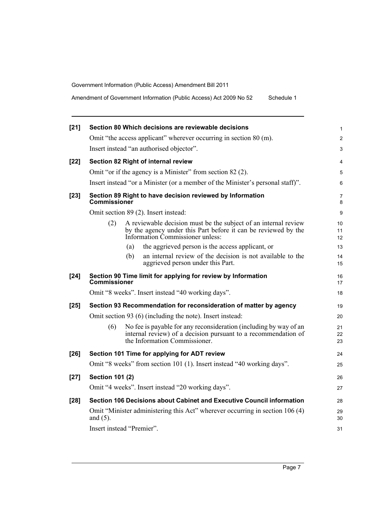Amendment of Government Information (Public Access) Act 2009 No 52 Schedule 1

| $[21]$ |                                                                       | Section 80 Which decisions are reviewable decisions                                                                                                                   | 1              |  |  |
|--------|-----------------------------------------------------------------------|-----------------------------------------------------------------------------------------------------------------------------------------------------------------------|----------------|--|--|
|        |                                                                       | Omit "the access applicant" wherever occurring in section 80 (m).                                                                                                     | 2              |  |  |
|        |                                                                       | Insert instead "an authorised objector".                                                                                                                              | 3              |  |  |
| $[22]$ |                                                                       | Section 82 Right of internal review                                                                                                                                   | 4              |  |  |
|        |                                                                       | Omit "or if the agency is a Minister" from section 82 (2).                                                                                                            | 5              |  |  |
|        |                                                                       | Insert instead "or a Minister (or a member of the Minister's personal staff)".                                                                                        | 6              |  |  |
| $[23]$ | Commissioner                                                          | Section 89 Right to have decision reviewed by Information                                                                                                             | 7<br>8         |  |  |
|        |                                                                       | Omit section 89 (2). Insert instead:                                                                                                                                  | 9              |  |  |
|        | (2)                                                                   | A reviewable decision must be the subject of an internal review<br>by the agency under this Part before it can be reviewed by the<br>Information Commissioner unless: | 10<br>11<br>12 |  |  |
|        |                                                                       | the aggrieved person is the access applicant, or<br>(a)                                                                                                               | 13             |  |  |
|        |                                                                       | an internal review of the decision is not available to the<br>(b)<br>aggrieved person under this Part.                                                                | 14<br>15       |  |  |
| $[24]$ | Commissioner                                                          | Section 90 Time limit for applying for review by Information                                                                                                          | 16<br>17       |  |  |
|        |                                                                       | Omit "8 weeks". Insert instead "40 working days".                                                                                                                     | 18             |  |  |
| $[25]$ | Section 93 Recommendation for reconsideration of matter by agency     |                                                                                                                                                                       |                |  |  |
|        |                                                                       | Omit section 93 (6) (including the note). Insert instead:                                                                                                             | 20             |  |  |
|        | (6)                                                                   | No fee is payable for any reconsideration (including by way of an<br>internal review) of a decision pursuant to a recommendation of<br>the Information Commissioner.  | 21<br>22<br>23 |  |  |
| $[26]$ |                                                                       | Section 101 Time for applying for ADT review                                                                                                                          | 24             |  |  |
|        |                                                                       | Omit "8 weeks" from section 101 (1). Insert instead "40 working days".                                                                                                | 25             |  |  |
| $[27]$ | <b>Section 101 (2)</b>                                                |                                                                                                                                                                       | 26             |  |  |
|        |                                                                       | Omit "4 weeks". Insert instead "20 working days".                                                                                                                     | 27             |  |  |
| [28]   | Section 106 Decisions about Cabinet and Executive Council information |                                                                                                                                                                       |                |  |  |
|        | and $(5)$ .                                                           | Omit "Minister administering this Act" wherever occurring in section 106 (4)                                                                                          | 29<br>30       |  |  |
|        |                                                                       | Insert instead "Premier".                                                                                                                                             | 31             |  |  |
|        |                                                                       |                                                                                                                                                                       |                |  |  |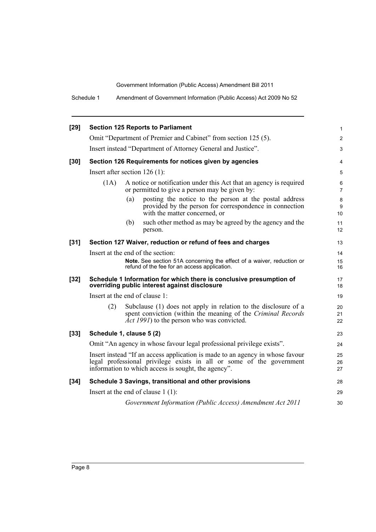Schedule 1 Amendment of Government Information (Public Access) Act 2009 No 52

| $[29]$ |                                                                                                                                                                                                              | <b>Section 125 Reports to Parliament</b>                                                                                                                                              | $\mathbf{1}$        |  |  |
|--------|--------------------------------------------------------------------------------------------------------------------------------------------------------------------------------------------------------------|---------------------------------------------------------------------------------------------------------------------------------------------------------------------------------------|---------------------|--|--|
|        |                                                                                                                                                                                                              | Omit "Department of Premier and Cabinet" from section 125 (5).                                                                                                                        | $\overline{2}$      |  |  |
|        |                                                                                                                                                                                                              | Insert instead "Department of Attorney General and Justice".                                                                                                                          | 3                   |  |  |
| $[30]$ |                                                                                                                                                                                                              | Section 126 Requirements for notices given by agencies                                                                                                                                | 4                   |  |  |
|        |                                                                                                                                                                                                              | Insert after section $126(1)$ :                                                                                                                                                       | 5                   |  |  |
|        | (1A)                                                                                                                                                                                                         | A notice or notification under this Act that an agency is required<br>or permitted to give a person may be given by:                                                                  | 6<br>$\overline{7}$ |  |  |
|        |                                                                                                                                                                                                              | (a)<br>posting the notice to the person at the postal address<br>provided by the person for correspondence in connection<br>with the matter concerned, or                             | $\bf 8$<br>9<br>10  |  |  |
|        |                                                                                                                                                                                                              | such other method as may be agreed by the agency and the<br>(b)<br>person.                                                                                                            | 11<br>12            |  |  |
| $[31]$ |                                                                                                                                                                                                              | Section 127 Waiver, reduction or refund of fees and charges                                                                                                                           | 13                  |  |  |
|        | Insert at the end of the section:                                                                                                                                                                            |                                                                                                                                                                                       |                     |  |  |
|        |                                                                                                                                                                                                              | Note. See section 51A concerning the effect of a waiver, reduction or<br>refund of the fee for an access application.                                                                 | 15<br>16            |  |  |
| $[32]$ |                                                                                                                                                                                                              | Schedule 1 Information for which there is conclusive presumption of<br>overriding public interest against disclosure                                                                  | 17<br>18            |  |  |
|        | Insert at the end of clause 1:                                                                                                                                                                               |                                                                                                                                                                                       |                     |  |  |
|        | (2)                                                                                                                                                                                                          | Subclause (1) does not apply in relation to the disclosure of a<br>spent conviction (within the meaning of the Criminal Records<br><i>Act 1991</i> ) to the person who was convicted. | 20<br>21<br>22      |  |  |
| $[33]$ | Schedule 1, clause 5 (2)                                                                                                                                                                                     |                                                                                                                                                                                       |                     |  |  |
|        | Omit "An agency in whose favour legal professional privilege exists".                                                                                                                                        |                                                                                                                                                                                       |                     |  |  |
|        | Insert instead "If an access application is made to an agency in whose favour<br>legal professional privilege exists in all or some of the government<br>information to which access is sought, the agency". |                                                                                                                                                                                       |                     |  |  |
| $[34]$ |                                                                                                                                                                                                              | Schedule 3 Savings, transitional and other provisions                                                                                                                                 | 28                  |  |  |
|        |                                                                                                                                                                                                              | Insert at the end of clause $1(1)$ :                                                                                                                                                  | 29                  |  |  |
|        |                                                                                                                                                                                                              | Government Information (Public Access) Amendment Act 2011                                                                                                                             | 30                  |  |  |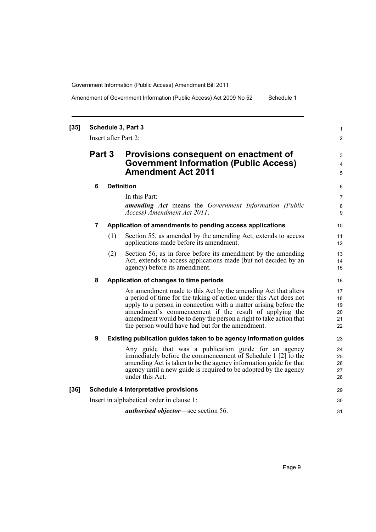Amendment of Government Information (Public Access) Act 2009 No 52 Schedule 1

#### **[35] Schedule 3, Part 3** Insert after Part 2: **Part 3 Provisions consequent on enactment of Government Information (Public Access) Amendment Act 2011 6 Definition** In this Part: *amending Act* means the *Government Information (Public Access) Amendment Act 2011*. **7 Application of amendments to pending access applications** (1) Section 55, as amended by the amending Act, extends to access applications made before its amendment. (2) Section 56, as in force before its amendment by the amending Act, extends to access applications made (but not decided by an agency) before its amendment. **8 Application of changes to time periods** An amendment made to this Act by the amending Act that alters a period of time for the taking of action under this Act does not apply to a person in connection with a matter arising before the amendment's commencement if the result of applying the amendment would be to deny the person a right to take action that the person would have had but for the amendment. **9 Existing publication guides taken to be agency information guides** Any guide that was a publication guide for an agency immediately before the commencement of Schedule 1 [2] to the amending Act is taken to be the agency information guide for that agency until a new guide is required to be adopted by the agency under this Act. **[36] Schedule 4 Interpretative provisions** Insert in alphabetical order in clause 1: *authorised objector*—see section 56. 1 2 3 4 5 6 7 8 **9** 10 11 12 13 14 15 16 17 18 19 20 21 22 23 24 25 26 27 28 29 30 31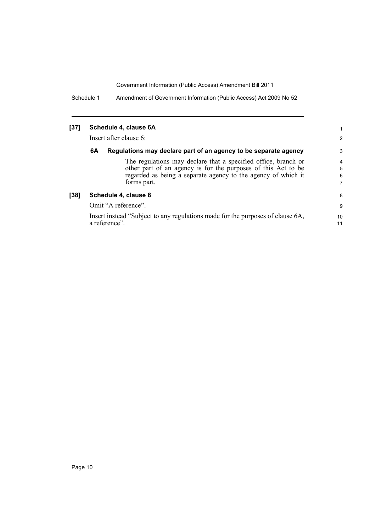Schedule 1 Amendment of Government Information (Public Access) Act 2009 No 52

| [37] | Schedule 4, clause 6A  |                                                                                                                                                                                                                 |                  |  |
|------|------------------------|-----------------------------------------------------------------------------------------------------------------------------------------------------------------------------------------------------------------|------------------|--|
|      | Insert after clause 6: |                                                                                                                                                                                                                 |                  |  |
|      | 6A                     | Regulations may declare part of an agency to be separate agency                                                                                                                                                 | 3                |  |
|      |                        | The regulations may declare that a specified office, branch or<br>other part of an agency is for the purposes of this Act to be<br>regarded as being a separate agency to the agency of which it<br>forms part. | 4<br>5<br>6<br>7 |  |
| [38] |                        | Schedule 4, clause 8                                                                                                                                                                                            | 8                |  |
|      | Omit "A reference".    |                                                                                                                                                                                                                 | 9                |  |
|      |                        | Insert instead "Subject to any regulations made for the purposes of clause 6A,<br>a reference".                                                                                                                 | 10<br>11         |  |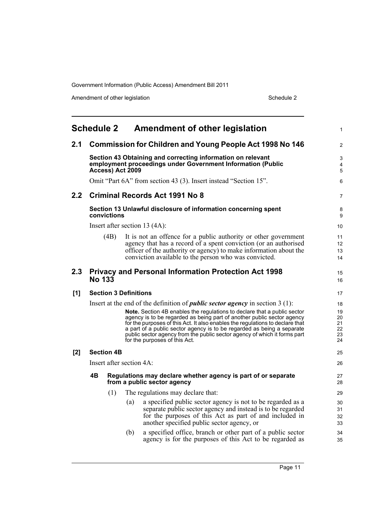Amendment of other legislation Schedule 2

<span id="page-18-0"></span>

|     | <b>Schedule 2</b>                                                                                                                              |                              |     | <b>Amendment of other legislation</b>                                                                                                                                                                                                                                                                                                                                                                                                                                                                                        | 1                                      |
|-----|------------------------------------------------------------------------------------------------------------------------------------------------|------------------------------|-----|------------------------------------------------------------------------------------------------------------------------------------------------------------------------------------------------------------------------------------------------------------------------------------------------------------------------------------------------------------------------------------------------------------------------------------------------------------------------------------------------------------------------------|----------------------------------------|
| 2.1 |                                                                                                                                                |                              |     | <b>Commission for Children and Young People Act 1998 No 146</b>                                                                                                                                                                                                                                                                                                                                                                                                                                                              | $\overline{2}$                         |
|     | Section 43 Obtaining and correcting information on relevant<br>employment proceedings under Government Information (Public<br>Access) Act 2009 |                              |     |                                                                                                                                                                                                                                                                                                                                                                                                                                                                                                                              |                                        |
|     |                                                                                                                                                |                              |     | Omit "Part 6A" from section 43 (3). Insert instead "Section 15".                                                                                                                                                                                                                                                                                                                                                                                                                                                             | 6                                      |
| 2.2 |                                                                                                                                                |                              |     | <b>Criminal Records Act 1991 No 8</b>                                                                                                                                                                                                                                                                                                                                                                                                                                                                                        | 7                                      |
|     |                                                                                                                                                | convictions                  |     | Section 13 Unlawful disclosure of information concerning spent                                                                                                                                                                                                                                                                                                                                                                                                                                                               | 8<br>9                                 |
|     |                                                                                                                                                |                              |     | Insert after section 13 (4A):                                                                                                                                                                                                                                                                                                                                                                                                                                                                                                | 10                                     |
|     |                                                                                                                                                | (4B)                         |     | It is not an offence for a public authority or other government<br>agency that has a record of a spent conviction (or an authorised<br>officer of the authority or agency) to make information about the<br>conviction available to the person who was convicted.                                                                                                                                                                                                                                                            | 11<br>12<br>13<br>14                   |
| 2.3 | <b>No 133</b>                                                                                                                                  |                              |     | <b>Privacy and Personal Information Protection Act 1998</b>                                                                                                                                                                                                                                                                                                                                                                                                                                                                  | 15<br>16                               |
| [1] |                                                                                                                                                | <b>Section 3 Definitions</b> |     |                                                                                                                                                                                                                                                                                                                                                                                                                                                                                                                              | 17                                     |
|     |                                                                                                                                                |                              |     | Insert at the end of the definition of <i>public sector agency</i> in section $3(1)$ :<br><b>Note.</b> Section 4B enables the regulations to declare that a public sector<br>agency is to be regarded as being part of another public sector agency<br>for the purposes of this Act. It also enables the regulations to declare that<br>a part of a public sector agency is to be regarded as being a separate<br>public sector agency from the public sector agency of which it forms part<br>for the purposes of this Act. | 18<br>19<br>20<br>21<br>22<br>23<br>24 |
| [2] |                                                                                                                                                | <b>Section 4B</b>            |     |                                                                                                                                                                                                                                                                                                                                                                                                                                                                                                                              | 25                                     |
|     | Insert after section 4A:                                                                                                                       |                              |     |                                                                                                                                                                                                                                                                                                                                                                                                                                                                                                                              |                                        |
|     | 4Β                                                                                                                                             |                              |     | Regulations may declare whether agency is part of or separate<br>from a public sector agency                                                                                                                                                                                                                                                                                                                                                                                                                                 | 27<br>28                               |
|     |                                                                                                                                                | (1)                          |     | The regulations may declare that:                                                                                                                                                                                                                                                                                                                                                                                                                                                                                            | 29                                     |
|     |                                                                                                                                                |                              | (a) | a specified public sector agency is not to be regarded as a<br>separate public sector agency and instead is to be regarded<br>for the purposes of this Act as part of and included in<br>another specified public sector agency, or                                                                                                                                                                                                                                                                                          | 30<br>31<br>32<br>33                   |
|     |                                                                                                                                                |                              | (b) | a specified office, branch or other part of a public sector<br>agency is for the purposes of this Act to be regarded as                                                                                                                                                                                                                                                                                                                                                                                                      | 34<br>35                               |